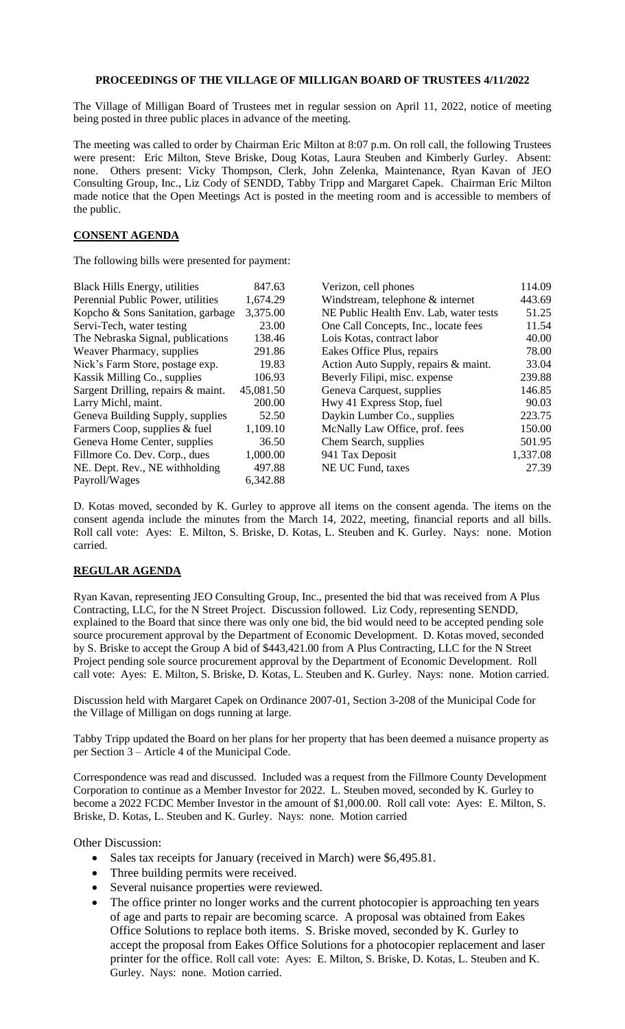## **PROCEEDINGS OF THE VILLAGE OF MILLIGAN BOARD OF TRUSTEES 4/11/2022**

The Village of Milligan Board of Trustees met in regular session on April 11, 2022, notice of meeting being posted in three public places in advance of the meeting.

The meeting was called to order by Chairman Eric Milton at 8:07 p.m. On roll call, the following Trustees were present: Eric Milton, Steve Briske, Doug Kotas, Laura Steuben and Kimberly Gurley. Absent: none. Others present: Vicky Thompson, Clerk, John Zelenka, Maintenance, Ryan Kavan of JEO Consulting Group, Inc., Liz Cody of SENDD, Tabby Tripp and Margaret Capek. Chairman Eric Milton made notice that the Open Meetings Act is posted in the meeting room and is accessible to members of the public.

## **CONSENT AGENDA**

The following bills were presented for payment:

| <b>Black Hills Energy, utilities</b> | 847.63    | Verizon, cell phones                   | 114.09   |
|--------------------------------------|-----------|----------------------------------------|----------|
| Perennial Public Power, utilities    | 1,674.29  | Windstream, telephone & internet       | 443.69   |
| Kopcho & Sons Sanitation, garbage    | 3,375.00  | NE Public Health Env. Lab, water tests | 51.25    |
| Servi-Tech, water testing            | 23.00     | One Call Concepts, Inc., locate fees   | 11.54    |
| The Nebraska Signal, publications    | 138.46    | Lois Kotas, contract labor             | 40.00    |
| Weaver Pharmacy, supplies            | 291.86    | Eakes Office Plus, repairs             | 78.00    |
| Nick's Farm Store, postage exp.      | 19.83     | Action Auto Supply, repairs & maint.   | 33.04    |
| Kassik Milling Co., supplies         | 106.93    | Beverly Filipi, misc. expense          | 239.88   |
| Sargent Drilling, repairs & maint.   | 45,081.50 | Geneva Carquest, supplies              | 146.85   |
| Larry Michl, maint.                  | 200.00    | Hwy 41 Express Stop, fuel              | 90.03    |
| Geneva Building Supply, supplies     | 52.50     | Daykin Lumber Co., supplies            | 223.75   |
| Farmers Coop, supplies & fuel        | 1,109.10  | McNally Law Office, prof. fees         | 150.00   |
| Geneva Home Center, supplies         | 36.50     | Chem Search, supplies                  | 501.95   |
| Fillmore Co. Dev. Corp., dues        | 1,000.00  | 941 Tax Deposit                        | 1,337.08 |
| NE. Dept. Rev., NE withholding       | 497.88    | NE UC Fund, taxes                      | 27.39    |
| Payroll/Wages                        | 6,342.88  |                                        |          |

D. Kotas moved, seconded by K. Gurley to approve all items on the consent agenda. The items on the consent agenda include the minutes from the March 14, 2022, meeting, financial reports and all bills. Roll call vote: Ayes: E. Milton, S. Briske, D. Kotas, L. Steuben and K. Gurley. Nays: none. Motion carried.

## **REGULAR AGENDA**

Ryan Kavan, representing JEO Consulting Group, Inc., presented the bid that was received from A Plus Contracting, LLC, for the N Street Project. Discussion followed. Liz Cody, representing SENDD, explained to the Board that since there was only one bid, the bid would need to be accepted pending sole source procurement approval by the Department of Economic Development. D. Kotas moved, seconded by S. Briske to accept the Group A bid of \$443,421.00 from A Plus Contracting, LLC for the N Street Project pending sole source procurement approval by the Department of Economic Development. Roll call vote: Ayes: E. Milton, S. Briske, D. Kotas, L. Steuben and K. Gurley. Nays: none. Motion carried.

Discussion held with Margaret Capek on Ordinance 2007-01, Section 3-208 of the Municipal Code for the Village of Milligan on dogs running at large.

Tabby Tripp updated the Board on her plans for her property that has been deemed a nuisance property as per Section 3 – Article 4 of the Municipal Code.

Correspondence was read and discussed. Included was a request from the Fillmore County Development Corporation to continue as a Member Investor for 2022. L. Steuben moved, seconded by K. Gurley to become a 2022 FCDC Member Investor in the amount of \$1,000.00. Roll call vote: Ayes: E. Milton, S. Briske, D. Kotas, L. Steuben and K. Gurley. Nays: none. Motion carried

Other Discussion:

- Sales tax receipts for January (received in March) were \$6,495.81.
- Three building permits were received.
- Several nuisance properties were reviewed.
- The office printer no longer works and the current photocopier is approaching ten years of age and parts to repair are becoming scarce. A proposal was obtained from Eakes Office Solutions to replace both items. S. Briske moved, seconded by K. Gurley to accept the proposal from Eakes Office Solutions for a photocopier replacement and laser printer for the office. Roll call vote: Ayes: E. Milton, S. Briske, D. Kotas, L. Steuben and K. Gurley. Nays: none. Motion carried.